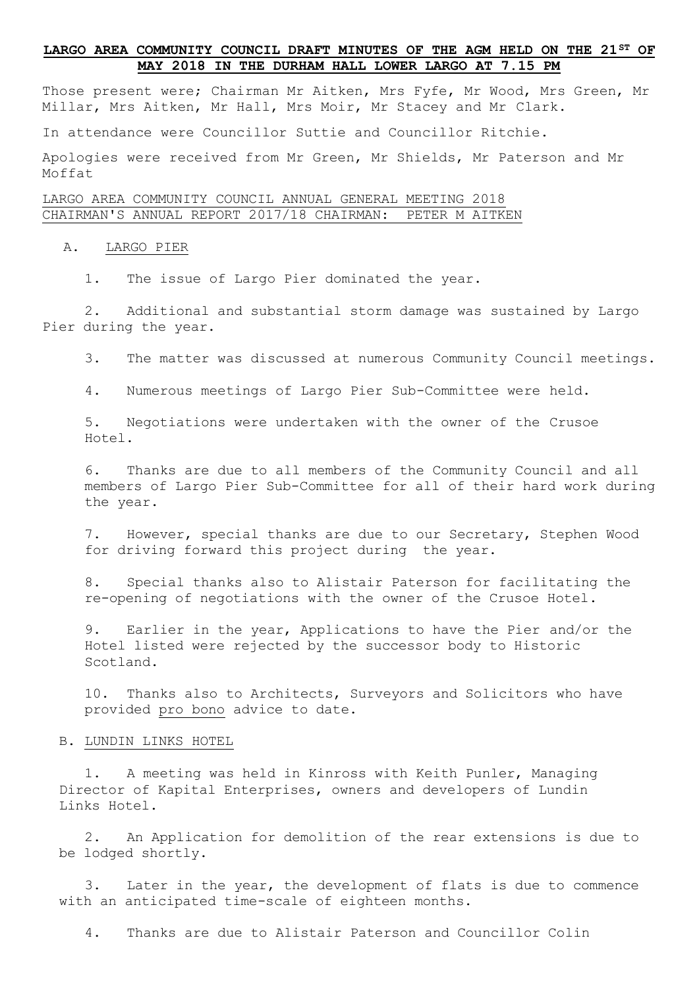# **LARGO AREA COMMUNITY COUNCIL DRAFT MINUTES OF THE AGM HELD ON THE 21ST OF MAY 2018 IN THE DURHAM HALL LOWER LARGO AT 7.15 PM**

Those present were; Chairman Mr Aitken, Mrs Fyfe, Mr Wood, Mrs Green, Mr Millar, Mrs Aitken, Mr Hall, Mrs Moir, Mr Stacey and Mr Clark.

In attendance were Councillor Suttie and Councillor Ritchie.

Apologies were received from Mr Green, Mr Shields, Mr Paterson and Mr Moffat

LARGO AREA COMMUNITY COUNCIL ANNUAL GENERAL MEETING 2018 CHAIRMAN'S ANNUAL REPORT 2017/18 CHAIRMAN: PETER M AITKEN

#### A. LARGO PIER

1. The issue of Largo Pier dominated the year.

2. Additional and substantial storm damage was sustained by Largo Pier during the year.

3. The matter was discussed at numerous Community Council meetings.

4. Numerous meetings of Largo Pier Sub-Committee were held.

5. Negotiations were undertaken with the owner of the Crusoe Hotel.

6. Thanks are due to all members of the Community Council and all members of Largo Pier Sub-Committee for all of their hard work during the year.

7. However, special thanks are due to our Secretary, Stephen Wood for driving forward this project during the year.

8. Special thanks also to Alistair Paterson for facilitating the re-opening of negotiations with the owner of the Crusoe Hotel.

9. Earlier in the year, Applications to have the Pier and/or the Hotel listed were rejected by the successor body to Historic Scotland.

10. Thanks also to Architects, Surveyors and Solicitors who have provided pro bono advice to date.

### B. LUNDIN LINKS HOTEL

1. A meeting was held in Kinross with Keith Punler, Managing Director of Kapital Enterprises, owners and developers of Lundin Links Hotel.

2. An Application for demolition of the rear extensions is due to be lodged shortly.

3. Later in the year, the development of flats is due to commence with an anticipated time-scale of eighteen months.

4. Thanks are due to Alistair Paterson and Councillor Colin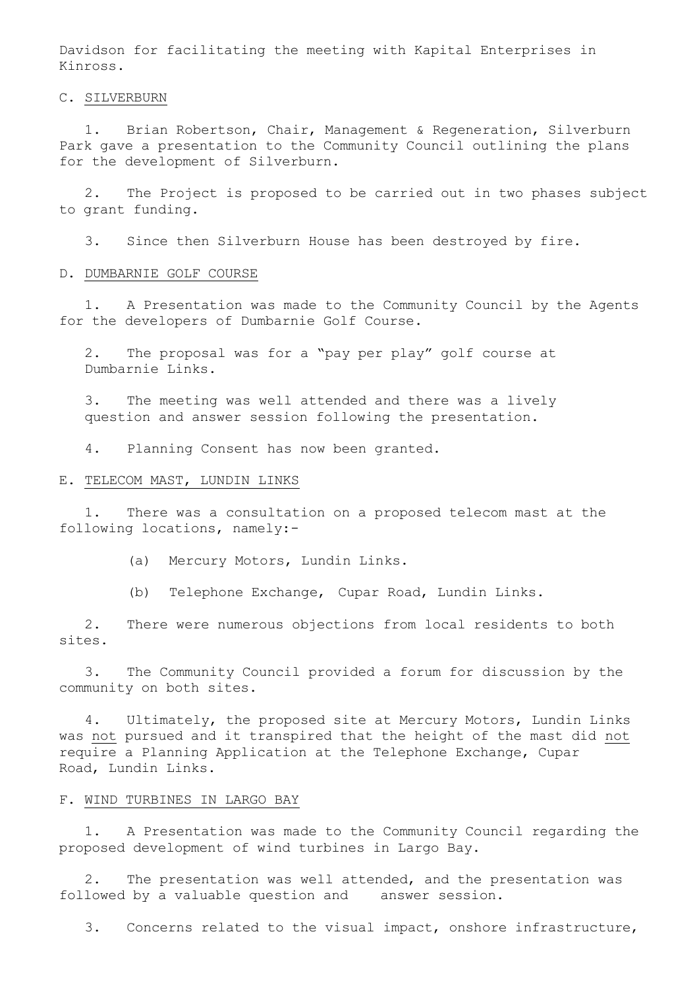Davidson for facilitating the meeting with Kapital Enterprises in Kinross.

C. SILVERBURN

1. Brian Robertson, Chair, Management & Regeneration, Silverburn Park gave a presentation to the Community Council outlining the plans for the development of Silverburn.

2. The Project is proposed to be carried out in two phases subject to grant funding.

3. Since then Silverburn House has been destroyed by fire.

#### D. DUMBARNIE GOLF COURSE

1. A Presentation was made to the Community Council by the Agents for the developers of Dumbarnie Golf Course.

2. The proposal was for a "pay per play" golf course at Dumbarnie Links.

3. The meeting was well attended and there was a lively question and answer session following the presentation.

4. Planning Consent has now been granted.

# E. TELECOM MAST, LUNDIN LINKS

1. There was a consultation on a proposed telecom mast at the following locations, namely:-

(a) Mercury Motors, Lundin Links.

(b) Telephone Exchange, Cupar Road, Lundin Links.

2. There were numerous objections from local residents to both sites.

3. The Community Council provided a forum for discussion by the community on both sites.

4. Ultimately, the proposed site at Mercury Motors, Lundin Links was not pursued and it transpired that the height of the mast did not require a Planning Application at the Telephone Exchange, Cupar Road, Lundin Links.

### F. WIND TURBINES IN LARGO BAY

1. A Presentation was made to the Community Council regarding the proposed development of wind turbines in Largo Bay.

2. The presentation was well attended, and the presentation was followed by a valuable question and answer session.

3. Concerns related to the visual impact, onshore infrastructure,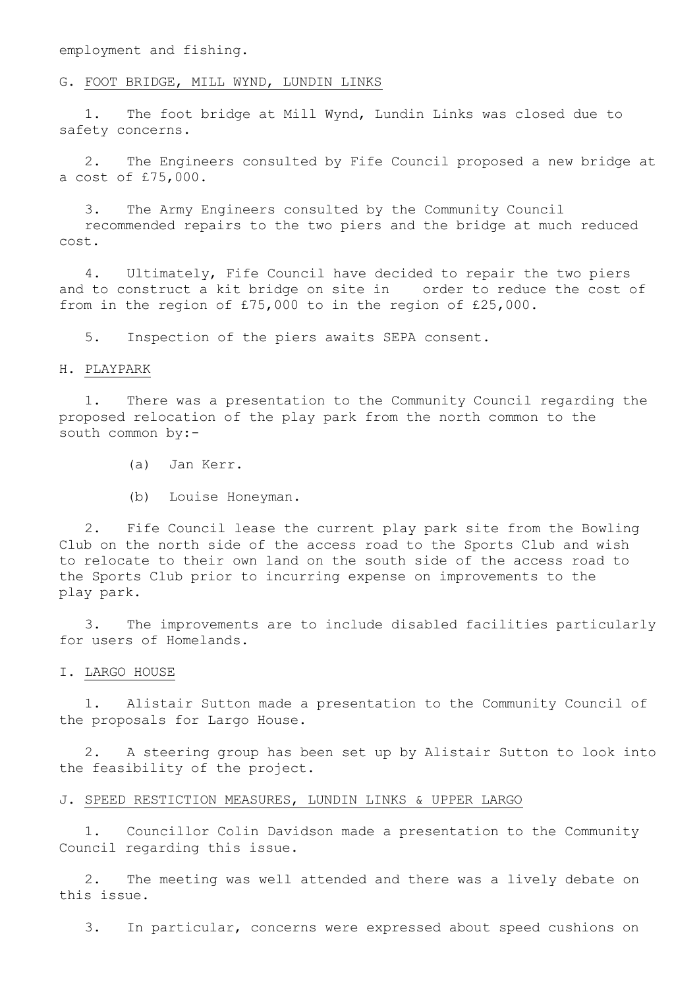employment and fishing.

### G. FOOT BRIDGE, MILL WYND, LUNDIN LINKS

1. The foot bridge at Mill Wynd, Lundin Links was closed due to safety concerns.

2. The Engineers consulted by Fife Council proposed a new bridge at a cost of £75,000.

3. The Army Engineers consulted by the Community Council recommended repairs to the two piers and the bridge at much reduced cost.

4. Ultimately, Fife Council have decided to repair the two piers and to construct a kit bridge on site in order to reduce the cost of from in the region of £75,000 to in the region of £25,000.

5. Inspection of the piers awaits SEPA consent.

### H. PLAYPARK

1. There was a presentation to the Community Council regarding the proposed relocation of the play park from the north common to the south common by:-

(a) Jan Kerr.

(b) Louise Honeyman.

2. Fife Council lease the current play park site from the Bowling Club on the north side of the access road to the Sports Club and wish to relocate to their own land on the south side of the access road to the Sports Club prior to incurring expense on improvements to the play park.

3. The improvements are to include disabled facilities particularly for users of Homelands.

I. LARGO HOUSE

1. Alistair Sutton made a presentation to the Community Council of the proposals for Largo House.

2. A steering group has been set up by Alistair Sutton to look into the feasibility of the project.

#### J. SPEED RESTICTION MEASURES, LUNDIN LINKS & UPPER LARGO

1. Councillor Colin Davidson made a presentation to the Community Council regarding this issue.

2. The meeting was well attended and there was a lively debate on this issue.

3. In particular, concerns were expressed about speed cushions on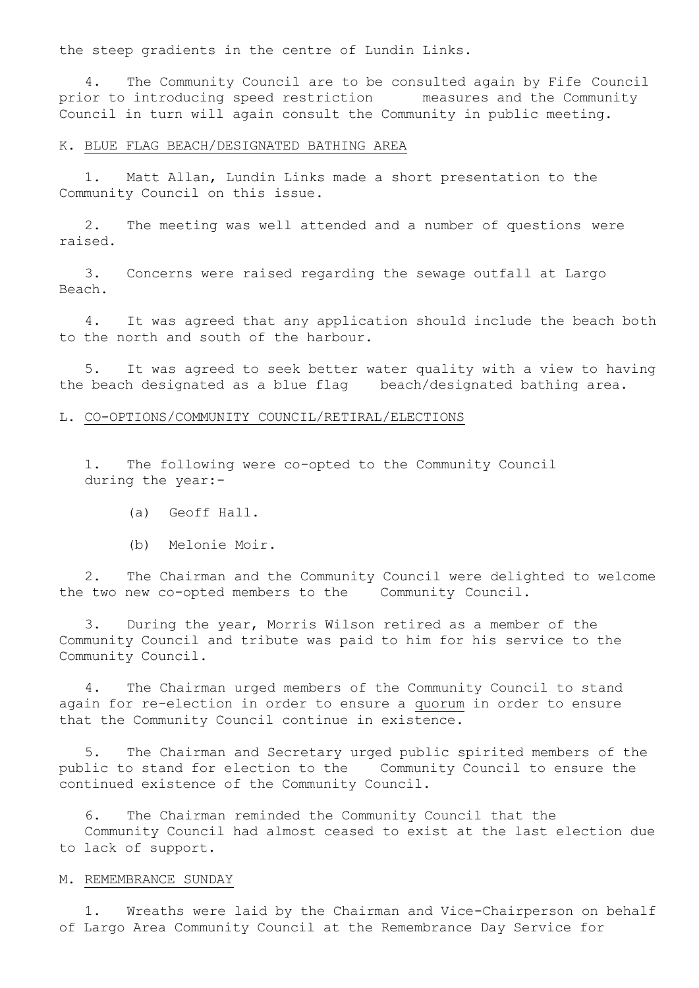the steep gradients in the centre of Lundin Links.

4. The Community Council are to be consulted again by Fife Council prior to introducing speed restriction measures and the Community Council in turn will again consult the Community in public meeting.

### K. BLUE FLAG BEACH/DESIGNATED BATHING AREA

1. Matt Allan, Lundin Links made a short presentation to the Community Council on this issue.

2. The meeting was well attended and a number of questions were raised.

3. Concerns were raised regarding the sewage outfall at Largo Beach.

4. It was agreed that any application should include the beach both to the north and south of the harbour.

5. It was agreed to seek better water quality with a view to having the beach designated as a blue flag beach/designated bathing area.

## L. CO-OPTIONS/COMMUNITY COUNCIL/RETIRAL/ELECTIONS

1. The following were co-opted to the Community Council during the year:-

- (a) Geoff Hall.
- (b) Melonie Moir.

2. The Chairman and the Community Council were delighted to welcome the two new co-opted members to the Community Council.

3. During the year, Morris Wilson retired as a member of the Community Council and tribute was paid to him for his service to the Community Council.

4. The Chairman urged members of the Community Council to stand again for re-election in order to ensure a quorum in order to ensure that the Community Council continue in existence.

5. The Chairman and Secretary urged public spirited members of the public to stand for election to the Community Council to ensure the continued existence of the Community Council.

6. The Chairman reminded the Community Council that the Community Council had almost ceased to exist at the last election due to lack of support.

### M. REMEMBRANCE SUNDAY

1. Wreaths were laid by the Chairman and Vice-Chairperson on behalf of Largo Area Community Council at the Remembrance Day Service for